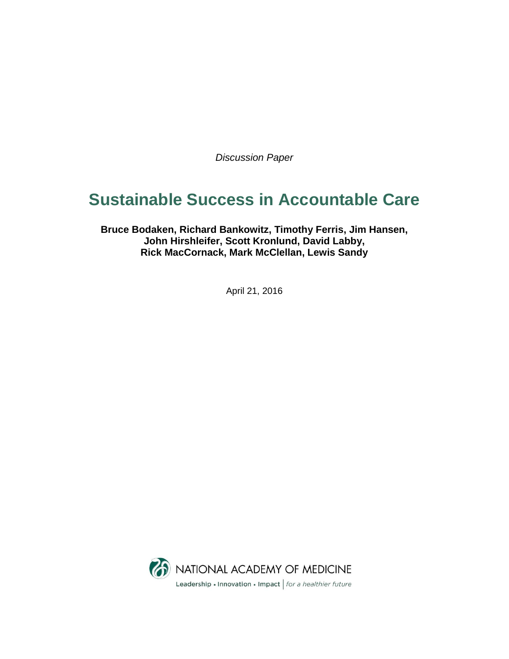*Discussion Paper*

# **Sustainable Success in Accountable Care**

**Bruce Bodaken, Richard Bankowitz, Timothy Ferris, Jim Hansen, John Hirshleifer, Scott Kronlund, David Labby, Rick MacCornack, Mark McClellan, Lewis Sandy**

April 21, 2016

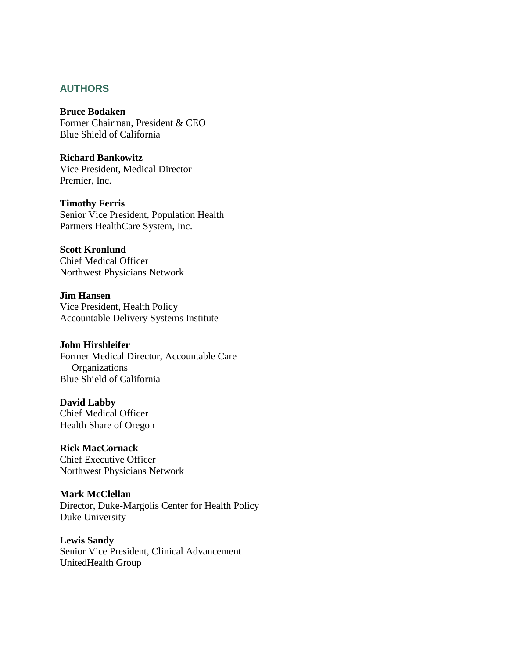## **AUTHORS**

**Bruce Bodaken** Former Chairman, President & CEO Blue Shield of California

**Richard Bankowitz** Vice President, Medical Director Premier, Inc.

**Timothy Ferris** Senior Vice President, Population Health Partners HealthCare System, Inc.

**Scott Kronlund** Chief Medical Officer Northwest Physicians Network

**Jim Hansen** Vice President, Health Policy Accountable Delivery Systems Institute

**John Hirshleifer** Former Medical Director, Accountable Care **Organizations** Blue Shield of California

**David Labby** Chief Medical Officer Health Share of Oregon

**Rick MacCornack** Chief Executive Officer Northwest Physicians Network

**Mark McClellan** Director, Duke-Margolis Center for Health Policy Duke University

**Lewis Sandy**  Senior Vice President, Clinical Advancement UnitedHealth Group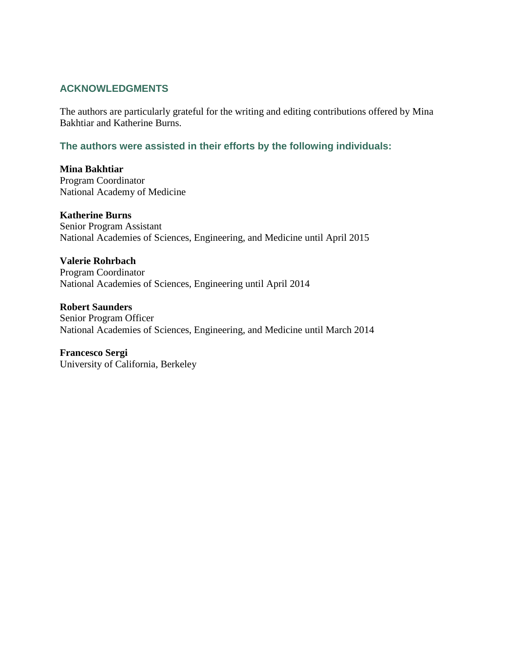## **ACKNOWLEDGMENTS**

The authors are particularly grateful for the writing and editing contributions offered by Mina Bakhtiar and Katherine Burns.

**The authors were assisted in their efforts by the following individuals:**

**Mina Bakhtiar** Program Coordinator National Academy of Medicine

**Katherine Burns** Senior Program Assistant National Academies of Sciences, Engineering, and Medicine until April 2015

**Valerie Rohrbach** Program Coordinator National Academies of Sciences, Engineering until April 2014

**Robert Saunders** Senior Program Officer National Academies of Sciences, Engineering, and Medicine until March 2014

**Francesco Sergi** University of California, Berkeley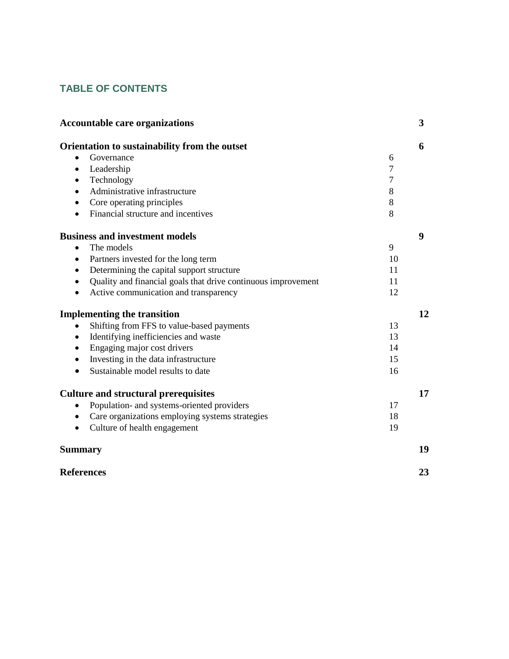## **TABLE OF CONTENTS**

| <b>Accountable care organizations</b>                         |    | 3  |
|---------------------------------------------------------------|----|----|
| Orientation to sustainability from the outset                 |    | 6  |
| Governance                                                    | 6  |    |
| Leadership<br>$\bullet$                                       | 7  |    |
| Technology                                                    | 7  |    |
| Administrative infrastructure                                 | 8  |    |
| Core operating principles                                     | 8  |    |
| Financial structure and incentives<br>$\bullet$               | 8  |    |
| <b>Business and investment models</b>                         |    | 9  |
| The models<br>$\bullet$                                       | 9  |    |
| Partners invested for the long term<br>$\bullet$              | 10 |    |
| Determining the capital support structure<br>$\bullet$        | 11 |    |
| Quality and financial goals that drive continuous improvement | 11 |    |
| Active communication and transparency                         | 12 |    |
| <b>Implementing the transition</b>                            |    | 12 |
| Shifting from FFS to value-based payments                     | 13 |    |
| Identifying inefficiencies and waste<br>$\bullet$             | 13 |    |
| Engaging major cost drivers                                   | 14 |    |
| Investing in the data infrastructure                          | 15 |    |
| Sustainable model results to date                             | 16 |    |
| <b>Culture and structural prerequisites</b>                   |    | 17 |
| Population- and systems-oriented providers                    | 17 |    |
| Care organizations employing systems strategies               | 18 |    |
| Culture of health engagement<br>$\bullet$                     | 19 |    |
| <b>Summary</b>                                                |    | 19 |
| <b>References</b>                                             |    | 23 |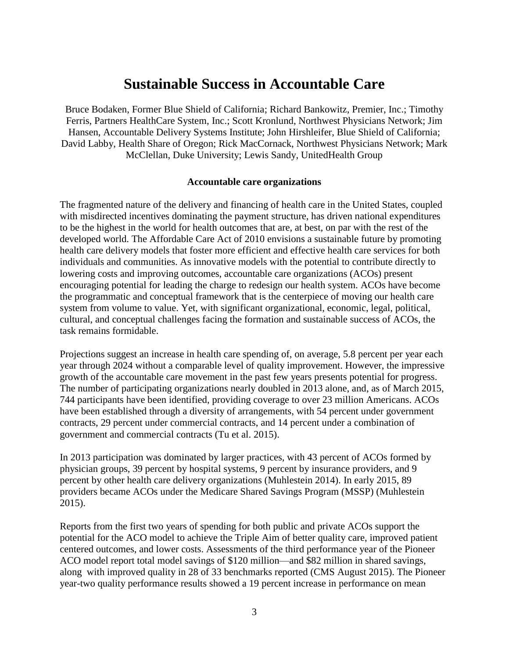## **Sustainable Success in Accountable Care**

Bruce Bodaken, Former Blue Shield of California; Richard Bankowitz, Premier, Inc.; Timothy Ferris, Partners HealthCare System, Inc.; Scott Kronlund, Northwest Physicians Network; Jim Hansen, Accountable Delivery Systems Institute; John Hirshleifer, Blue Shield of California; David Labby, Health Share of Oregon; Rick MacCornack, Northwest Physicians Network; Mark McClellan, Duke University; Lewis Sandy, UnitedHealth Group

#### **Accountable care organizations**

The fragmented nature of the delivery and financing of health care in the United States, coupled with misdirected incentives dominating the payment structure, has driven national expenditures to be the highest in the world for health outcomes that are, at best, on par with the rest of the developed world. The Affordable Care Act of 2010 envisions a sustainable future by promoting health care delivery models that foster more efficient and effective health care services for both individuals and communities. As innovative models with the potential to contribute directly to lowering costs and improving outcomes, accountable care organizations (ACOs) present encouraging potential for leading the charge to redesign our health system. ACOs have become the programmatic and conceptual framework that is the centerpiece of moving our health care system from volume to value. Yet, with significant organizational, economic, legal, political, cultural, and conceptual challenges facing the formation and sustainable success of ACOs, the task remains formidable.

Projections suggest an increase in health care spending of, on average, 5.8 percent per year each year through 2024 without a comparable level of quality improvement. However, the impressive growth of the accountable care movement in the past few years presents potential for progress. The number of participating organizations nearly doubled in 2013 alone, and, as of March 2015, 744 participants have been identified, providing coverage to over 23 million Americans. ACOs have been established through a diversity of arrangements, with 54 percent under government contracts, 29 percent under commercial contracts, and 14 percent under a combination of government and commercial contracts (Tu et al. 2015).

In 2013 participation was dominated by larger practices, with 43 percent of ACOs formed by physician groups, 39 percent by hospital systems, 9 percent by insurance providers, and 9 percent by other health care delivery organizations (Muhlestein 2014). In early 2015, 89 providers became ACOs under the Medicare Shared Savings Program (MSSP) (Muhlestein 2015).

Reports from the first two years of spending for both public and private ACOs support the potential for the ACO model to achieve the Triple Aim of better quality care, improved patient centered outcomes, and lower costs. Assessments of the third performance year of the Pioneer ACO model report total model savings of \$120 million—and \$82 million in shared savings, along with improved quality in 28 of 33 benchmarks reported (CMS August 2015). The Pioneer year-two quality performance results showed a 19 percent increase in performance on mean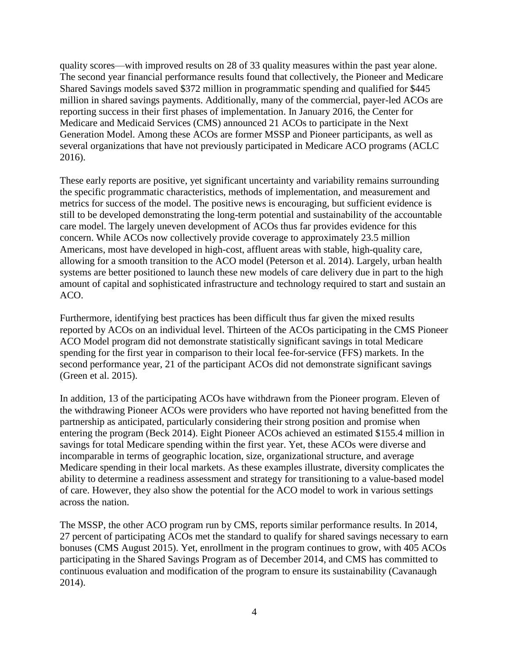quality scores—with improved results on 28 of 33 quality measures within the past year alone. The second year financial performance results found that collectively, the Pioneer and Medicare Shared Savings models saved \$372 million in programmatic spending and qualified for \$445 million in shared savings payments. Additionally, many of the commercial, payer-led ACOs are reporting success in their first phases of implementation. In January 2016, the Center for Medicare and Medicaid Services (CMS) announced 21 ACOs to participate in the Next Generation Model. Among these ACOs are former MSSP and Pioneer participants, as well as several organizations that have not previously participated in Medicare ACO programs (ACLC 2016).

These early reports are positive, yet significant uncertainty and variability remains surrounding the specific programmatic characteristics, methods of implementation, and measurement and metrics for success of the model. The positive news is encouraging, but sufficient evidence is still to be developed demonstrating the long-term potential and sustainability of the accountable care model. The largely uneven development of ACOs thus far provides evidence for this concern. While ACOs now collectively provide coverage to approximately 23.5 million Americans, most have developed in high-cost, affluent areas with stable, high-quality care, allowing for a smooth transition to the ACO model (Peterson et al. 2014). Largely, urban health systems are better positioned to launch these new models of care delivery due in part to the high amount of capital and sophisticated infrastructure and technology required to start and sustain an ACO.

Furthermore, identifying best practices has been difficult thus far given the mixed results reported by ACOs on an individual level. Thirteen of the ACOs participating in the CMS Pioneer ACO Model program did not demonstrate statistically significant savings in total Medicare spending for the first year in comparison to their local fee-for-service (FFS) markets. In the second performance year, 21 of the participant ACOs did not demonstrate significant savings (Green et al. 2015).

In addition, 13 of the participating ACOs have withdrawn from the Pioneer program. Eleven of the withdrawing Pioneer ACOs were providers who have reported not having benefitted from the partnership as anticipated, particularly considering their strong position and promise when entering the program (Beck 2014). Eight Pioneer ACOs achieved an estimated \$155.4 million in savings for total Medicare spending within the first year. Yet, these ACOs were diverse and incomparable in terms of geographic location, size, organizational structure, and average Medicare spending in their local markets. As these examples illustrate, diversity complicates the ability to determine a readiness assessment and strategy for transitioning to a value-based model of care. However, they also show the potential for the ACO model to work in various settings across the nation.

The MSSP, the other ACO program run by CMS, reports similar performance results. In 2014, 27 percent of participating ACOs met the standard to qualify for shared savings necessary to earn bonuses (CMS August 2015). Yet, enrollment in the program continues to grow, with 405 ACOs participating in the Shared Savings Program as of December 2014, and CMS has committed to continuous evaluation and modification of the program to ensure its sustainability (Cavanaugh 2014).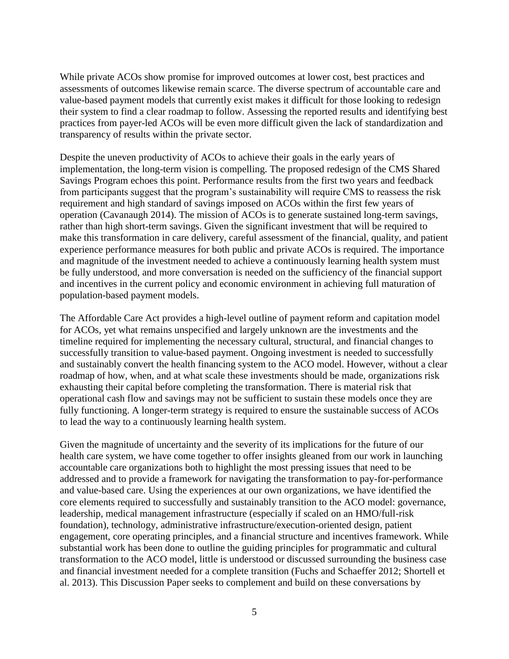While private ACOs show promise for improved outcomes at lower cost, best practices and assessments of outcomes likewise remain scarce. The diverse spectrum of accountable care and value-based payment models that currently exist makes it difficult for those looking to redesign their system to find a clear roadmap to follow. Assessing the reported results and identifying best practices from payer-led ACOs will be even more difficult given the lack of standardization and transparency of results within the private sector.

Despite the uneven productivity of ACOs to achieve their goals in the early years of implementation, the long-term vision is compelling. The proposed redesign of the CMS Shared Savings Program echoes this point. Performance results from the first two years and feedback from participants suggest that the program's sustainability will require CMS to reassess the risk requirement and high standard of savings imposed on ACOs within the first few years of operation (Cavanaugh 2014). The mission of ACOs is to generate sustained long-term savings, rather than high short-term savings. Given the significant investment that will be required to make this transformation in care delivery, careful assessment of the financial, quality, and patient experience performance measures for both public and private ACOs is required. The importance and magnitude of the investment needed to achieve a continuously learning health system must be fully understood, and more conversation is needed on the sufficiency of the financial support and incentives in the current policy and economic environment in achieving full maturation of population-based payment models.

The Affordable Care Act provides a high-level outline of payment reform and capitation model for ACOs, yet what remains unspecified and largely unknown are the investments and the timeline required for implementing the necessary cultural, structural, and financial changes to successfully transition to value-based payment. Ongoing investment is needed to successfully and sustainably convert the health financing system to the ACO model. However, without a clear roadmap of how, when, and at what scale these investments should be made, organizations risk exhausting their capital before completing the transformation. There is material risk that operational cash flow and savings may not be sufficient to sustain these models once they are fully functioning. A longer-term strategy is required to ensure the sustainable success of ACOs to lead the way to a continuously learning health system.

Given the magnitude of uncertainty and the severity of its implications for the future of our health care system, we have come together to offer insights gleaned from our work in launching accountable care organizations both to highlight the most pressing issues that need to be addressed and to provide a framework for navigating the transformation to pay-for-performance and value-based care. Using the experiences at our own organizations, we have identified the core elements required to successfully and sustainably transition to the ACO model: governance, leadership, medical management infrastructure (especially if scaled on an HMO/full-risk foundation), technology, administrative infrastructure/execution-oriented design, patient engagement, core operating principles, and a financial structure and incentives framework. While substantial work has been done to outline the guiding principles for programmatic and cultural transformation to the ACO model, little is understood or discussed surrounding the business case and financial investment needed for a complete transition (Fuchs and Schaeffer 2012; Shortell et al. 2013). This Discussion Paper seeks to complement and build on these conversations by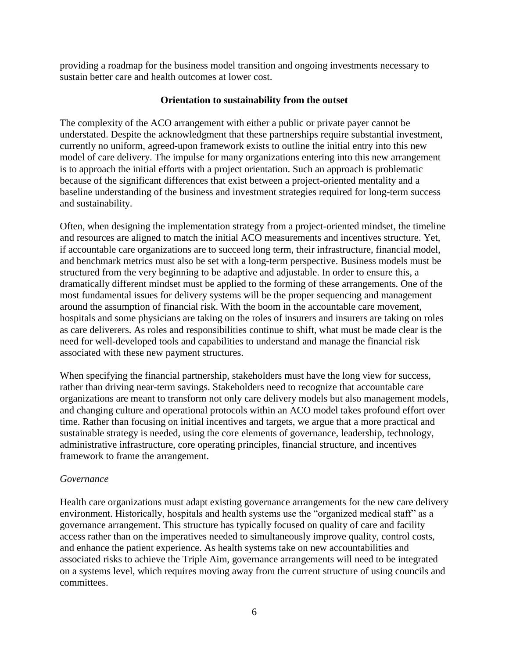providing a roadmap for the business model transition and ongoing investments necessary to sustain better care and health outcomes at lower cost.

## **Orientation to sustainability from the outset**

The complexity of the ACO arrangement with either a public or private payer cannot be understated. Despite the acknowledgment that these partnerships require substantial investment, currently no uniform, agreed-upon framework exists to outline the initial entry into this new model of care delivery. The impulse for many organizations entering into this new arrangement is to approach the initial efforts with a project orientation. Such an approach is problematic because of the significant differences that exist between a project-oriented mentality and a baseline understanding of the business and investment strategies required for long-term success and sustainability.

Often, when designing the implementation strategy from a project-oriented mindset, the timeline and resources are aligned to match the initial ACO measurements and incentives structure. Yet, if accountable care organizations are to succeed long term, their infrastructure, financial model, and benchmark metrics must also be set with a long-term perspective. Business models must be structured from the very beginning to be adaptive and adjustable. In order to ensure this, a dramatically different mindset must be applied to the forming of these arrangements. One of the most fundamental issues for delivery systems will be the proper sequencing and management around the assumption of financial risk. With the boom in the accountable care movement, hospitals and some physicians are taking on the roles of insurers and insurers are taking on roles as care deliverers. As roles and responsibilities continue to shift, what must be made clear is the need for well-developed tools and capabilities to understand and manage the financial risk associated with these new payment structures.

When specifying the financial partnership, stakeholders must have the long view for success, rather than driving near-term savings. Stakeholders need to recognize that accountable care organizations are meant to transform not only care delivery models but also management models, and changing culture and operational protocols within an ACO model takes profound effort over time. Rather than focusing on initial incentives and targets, we argue that a more practical and sustainable strategy is needed, using the core elements of governance, leadership, technology, administrative infrastructure, core operating principles, financial structure, and incentives framework to frame the arrangement.

## *Governance*

Health care organizations must adapt existing governance arrangements for the new care delivery environment. Historically, hospitals and health systems use the "organized medical staff" as a governance arrangement. This structure has typically focused on quality of care and facility access rather than on the imperatives needed to simultaneously improve quality, control costs, and enhance the patient experience. As health systems take on new accountabilities and associated risks to achieve the Triple Aim, governance arrangements will need to be integrated on a systems level, which requires moving away from the current structure of using councils and committees.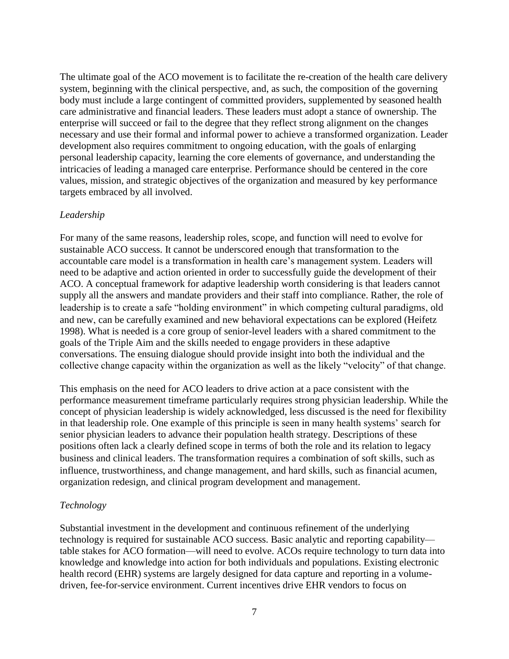The ultimate goal of the ACO movement is to facilitate the re-creation of the health care delivery system, beginning with the clinical perspective, and, as such, the composition of the governing body must include a large contingent of committed providers, supplemented by seasoned health care administrative and financial leaders. These leaders must adopt a stance of ownership. The enterprise will succeed or fail to the degree that they reflect strong alignment on the changes necessary and use their formal and informal power to achieve a transformed organization. Leader development also requires commitment to ongoing education, with the goals of enlarging personal leadership capacity, learning the core elements of governance, and understanding the intricacies of leading a managed care enterprise. Performance should be centered in the core values, mission, and strategic objectives of the organization and measured by key performance targets embraced by all involved.

## *Leadership*

For many of the same reasons, leadership roles, scope, and function will need to evolve for sustainable ACO success. It cannot be underscored enough that transformation to the accountable care model is a transformation in health care's management system. Leaders will need to be adaptive and action oriented in order to successfully guide the development of their ACO. A conceptual framework for adaptive leadership worth considering is that leaders cannot supply all the answers and mandate providers and their staff into compliance. Rather, the role of leadership is to create a safe "holding environment" in which competing cultural paradigms, old and new, can be carefully examined and new behavioral expectations can be explored (Heifetz 1998). What is needed is a core group of senior-level leaders with a shared commitment to the goals of the Triple Aim and the skills needed to engage providers in these adaptive conversations. The ensuing dialogue should provide insight into both the individual and the collective change capacity within the organization as well as the likely "velocity" of that change.

This emphasis on the need for ACO leaders to drive action at a pace consistent with the performance measurement timeframe particularly requires strong physician leadership. While the concept of physician leadership is widely acknowledged, less discussed is the need for flexibility in that leadership role. One example of this principle is seen in many health systems' search for senior physician leaders to advance their population health strategy. Descriptions of these positions often lack a clearly defined scope in terms of both the role and its relation to legacy business and clinical leaders. The transformation requires a combination of soft skills, such as influence, trustworthiness, and change management, and hard skills, such as financial acumen, organization redesign, and clinical program development and management.

## *Technology*

Substantial investment in the development and continuous refinement of the underlying technology is required for sustainable ACO success. Basic analytic and reporting capability table stakes for ACO formation—will need to evolve. ACOs require technology to turn data into knowledge and knowledge into action for both individuals and populations. Existing electronic health record (EHR) systems are largely designed for data capture and reporting in a volumedriven, fee-for-service environment. Current incentives drive EHR vendors to focus on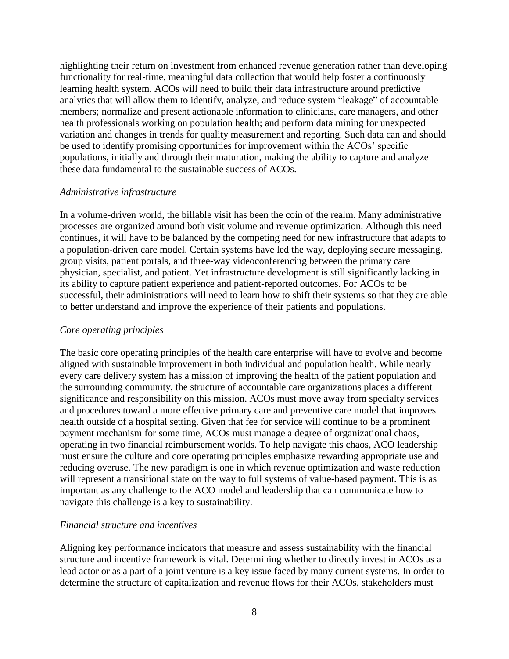highlighting their return on investment from enhanced revenue generation rather than developing functionality for real-time, meaningful data collection that would help foster a continuously learning health system. ACOs will need to build their data infrastructure around predictive analytics that will allow them to identify, analyze, and reduce system "leakage" of accountable members; normalize and present actionable information to clinicians, care managers, and other health professionals working on population health; and perform data mining for unexpected variation and changes in trends for quality measurement and reporting. Such data can and should be used to identify promising opportunities for improvement within the ACOs' specific populations, initially and through their maturation, making the ability to capture and analyze these data fundamental to the sustainable success of ACOs.

#### *Administrative infrastructure*

In a volume-driven world, the billable visit has been the coin of the realm. Many administrative processes are organized around both visit volume and revenue optimization. Although this need continues, it will have to be balanced by the competing need for new infrastructure that adapts to a population-driven care model. Certain systems have led the way, deploying secure messaging, group visits, patient portals, and three-way videoconferencing between the primary care physician, specialist, and patient. Yet infrastructure development is still significantly lacking in its ability to capture patient experience and patient-reported outcomes. For ACOs to be successful, their administrations will need to learn how to shift their systems so that they are able to better understand and improve the experience of their patients and populations.

## *Core operating principles*

The basic core operating principles of the health care enterprise will have to evolve and become aligned with sustainable improvement in both individual and population health. While nearly every care delivery system has a mission of improving the health of the patient population and the surrounding community, the structure of accountable care organizations places a different significance and responsibility on this mission. ACOs must move away from specialty services and procedures toward a more effective primary care and preventive care model that improves health outside of a hospital setting. Given that fee for service will continue to be a prominent payment mechanism for some time, ACOs must manage a degree of organizational chaos, operating in two financial reimbursement worlds. To help navigate this chaos, ACO leadership must ensure the culture and core operating principles emphasize rewarding appropriate use and reducing overuse. The new paradigm is one in which revenue optimization and waste reduction will represent a transitional state on the way to full systems of value-based payment. This is as important as any challenge to the ACO model and leadership that can communicate how to navigate this challenge is a key to sustainability.

#### *Financial structure and incentives*

Aligning key performance indicators that measure and assess sustainability with the financial structure and incentive framework is vital. Determining whether to directly invest in ACOs as a lead actor or as a part of a joint venture is a key issue faced by many current systems. In order to determine the structure of capitalization and revenue flows for their ACOs, stakeholders must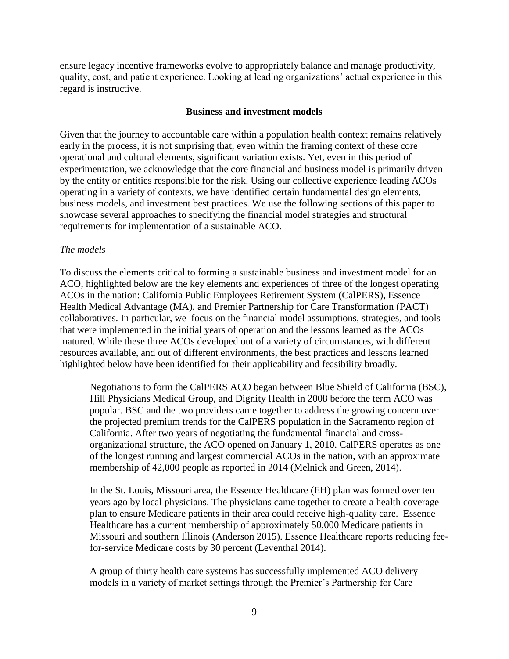ensure legacy incentive frameworks evolve to appropriately balance and manage productivity, quality, cost, and patient experience. Looking at leading organizations' actual experience in this regard is instructive.

#### **Business and investment models**

Given that the journey to accountable care within a population health context remains relatively early in the process, it is not surprising that, even within the framing context of these core operational and cultural elements, significant variation exists. Yet, even in this period of experimentation, we acknowledge that the core financial and business model is primarily driven by the entity or entities responsible for the risk. Using our collective experience leading ACOs operating in a variety of contexts, we have identified certain fundamental design elements, business models, and investment best practices. We use the following sections of this paper to showcase several approaches to specifying the financial model strategies and structural requirements for implementation of a sustainable ACO.

## *The models*

To discuss the elements critical to forming a sustainable business and investment model for an ACO, highlighted below are the key elements and experiences of three of the longest operating ACOs in the nation: California Public Employees Retirement System (CalPERS), Essence Health Medical Advantage (MA), and Premier Partnership for Care Transformation (PACT) collaboratives. In particular, we focus on the financial model assumptions, strategies, and tools that were implemented in the initial years of operation and the lessons learned as the ACOs matured. While these three ACOs developed out of a variety of circumstances, with different resources available, and out of different environments, the best practices and lessons learned highlighted below have been identified for their applicability and feasibility broadly.

Negotiations to form the CalPERS ACO began between Blue Shield of California (BSC), Hill Physicians Medical Group, and Dignity Health in 2008 before the term ACO was popular. BSC and the two providers came together to address the growing concern over the projected premium trends for the CalPERS population in the Sacramento region of California. After two years of negotiating the fundamental financial and crossorganizational structure, the ACO opened on January 1, 2010. CalPERS operates as one of the longest running and largest commercial ACOs in the nation, with an approximate membership of 42,000 people as reported in 2014 (Melnick and Green, 2014).

In the St. Louis, Missouri area, the Essence Healthcare (EH) plan was formed over ten years ago by local physicians. The physicians came together to create a health coverage plan to ensure Medicare patients in their area could receive high-quality care. Essence Healthcare has a current membership of approximately 50,000 Medicare patients in Missouri and southern Illinois (Anderson 2015). Essence Healthcare reports reducing feefor-service Medicare costs by 30 percent (Leventhal 2014).

A group of thirty health care systems has successfully implemented ACO delivery models in a variety of market settings through the Premier's Partnership for Care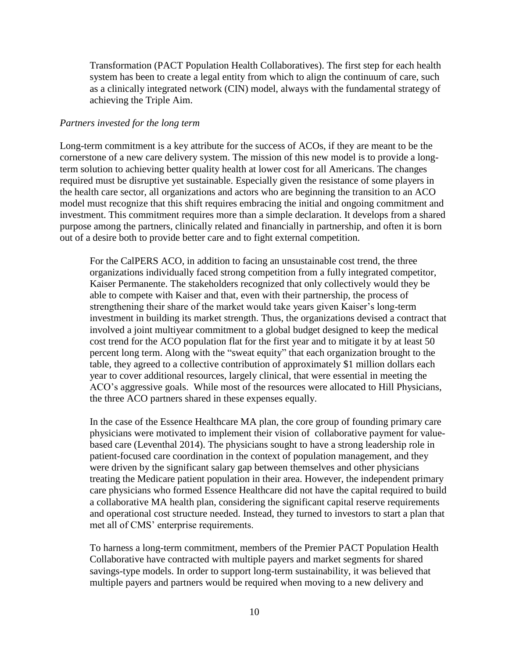Transformation (PACT Population Health Collaboratives). The first step for each health system has been to create a legal entity from which to align the continuum of care, such as a clinically integrated network (CIN) model, always with the fundamental strategy of achieving the Triple Aim.

#### *Partners invested for the long term*

Long-term commitment is a key attribute for the success of ACOs, if they are meant to be the cornerstone of a new care delivery system. The mission of this new model is to provide a longterm solution to achieving better quality health at lower cost for all Americans. The changes required must be disruptive yet sustainable. Especially given the resistance of some players in the health care sector, all organizations and actors who are beginning the transition to an ACO model must recognize that this shift requires embracing the initial and ongoing commitment and investment. This commitment requires more than a simple declaration. It develops from a shared purpose among the partners, clinically related and financially in partnership, and often it is born out of a desire both to provide better care and to fight external competition.

For the CalPERS ACO, in addition to facing an unsustainable cost trend, the three organizations individually faced strong competition from a fully integrated competitor, Kaiser Permanente. The stakeholders recognized that only collectively would they be able to compete with Kaiser and that, even with their partnership, the process of strengthening their share of the market would take years given Kaiser's long-term investment in building its market strength. Thus, the organizations devised a contract that involved a joint multiyear commitment to a global budget designed to keep the medical cost trend for the ACO population flat for the first year and to mitigate it by at least 50 percent long term. Along with the "sweat equity" that each organization brought to the table, they agreed to a collective contribution of approximately \$1 million dollars each year to cover additional resources, largely clinical, that were essential in meeting the ACO's aggressive goals. While most of the resources were allocated to Hill Physicians, the three ACO partners shared in these expenses equally.

In the case of the Essence Healthcare MA plan, the core group of founding primary care physicians were motivated to implement their vision of collaborative payment for valuebased care (Leventhal 2014). The physicians sought to have a strong leadership role in patient-focused care coordination in the context of population management, and they were driven by the significant salary gap between themselves and other physicians treating the Medicare patient population in their area. However, the independent primary care physicians who formed Essence Healthcare did not have the capital required to build a collaborative MA health plan, considering the significant capital reserve requirements and operational cost structure needed. Instead, they turned to investors to start a plan that met all of CMS' enterprise requirements.

To harness a long-term commitment, members of the Premier PACT Population Health Collaborative have contracted with multiple payers and market segments for shared savings-type models. In order to support long-term sustainability, it was believed that multiple payers and partners would be required when moving to a new delivery and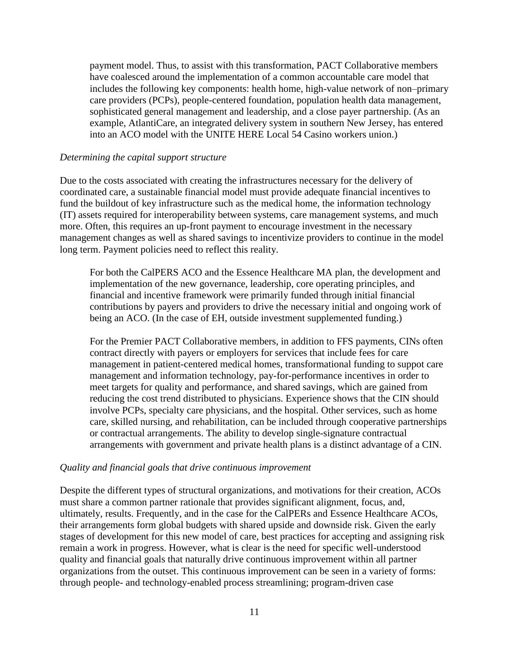payment model. Thus, to assist with this transformation, PACT Collaborative members have coalesced around the implementation of a common accountable care model that includes the following key components: health home, high-value network of non–primary care providers (PCPs), people-centered foundation, population health data management, sophisticated general management and leadership, and a close payer partnership. (As an example, AtlantiCare, an integrated delivery system in southern New Jersey, has entered into an ACO model with the UNITE HERE Local 54 Casino workers union.)

#### *Determining the capital support structure*

Due to the costs associated with creating the infrastructures necessary for the delivery of coordinated care, a sustainable financial model must provide adequate financial incentives to fund the buildout of key infrastructure such as the medical home, the information technology (IT) assets required for interoperability between systems, care management systems, and much more. Often, this requires an up-front payment to encourage investment in the necessary management changes as well as shared savings to incentivize providers to continue in the model long term. Payment policies need to reflect this reality.

For both the CalPERS ACO and the Essence Healthcare MA plan, the development and implementation of the new governance, leadership, core operating principles, and financial and incentive framework were primarily funded through initial financial contributions by payers and providers to drive the necessary initial and ongoing work of being an ACO. (In the case of EH, outside investment supplemented funding.)

For the Premier PACT Collaborative members, in addition to FFS payments, CINs often contract directly with payers or employers for services that include fees for care management in patient-centered medical homes, transformational funding to suppot care management and information technology, pay-for-performance incentives in order to meet targets for quality and performance, and shared savings, which are gained from reducing the cost trend distributed to physicians. Experience shows that the CIN should involve PCPs, specialty care physicians, and the hospital. Other services, such as home care, skilled nursing, and rehabilitation, can be included through cooperative partnerships or contractual arrangements. The ability to develop single-signature contractual arrangements with government and private health plans is a distinct advantage of a CIN.

#### *Quality and financial goals that drive continuous improvement*

Despite the different types of structural organizations, and motivations for their creation, ACOs must share a common partner rationale that provides significant alignment, focus, and, ultimately, results. Frequently, and in the case for the CalPERs and Essence Healthcare ACOs, their arrangements form global budgets with shared upside and downside risk. Given the early stages of development for this new model of care, best practices for accepting and assigning risk remain a work in progress. However, what is clear is the need for specific well-understood quality and financial goals that naturally drive continuous improvement within all partner organizations from the outset. This continuous improvement can be seen in a variety of forms: through people- and technology-enabled process streamlining; program-driven case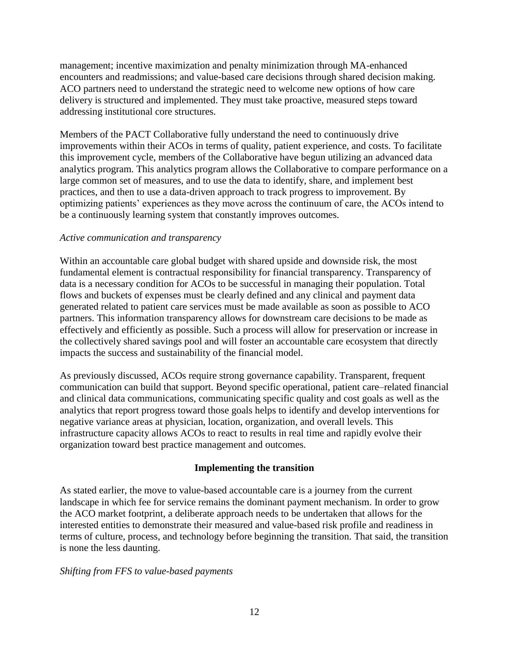management; incentive maximization and penalty minimization through MA-enhanced encounters and readmissions; and value-based care decisions through shared decision making. ACO partners need to understand the strategic need to welcome new options of how care delivery is structured and implemented. They must take proactive, measured steps toward addressing institutional core structures.

Members of the PACT Collaborative fully understand the need to continuously drive improvements within their ACOs in terms of quality, patient experience, and costs. To facilitate this improvement cycle, members of the Collaborative have begun utilizing an advanced data analytics program. This analytics program allows the Collaborative to compare performance on a large common set of measures, and to use the data to identify, share, and implement best practices, and then to use a data-driven approach to track progress to improvement. By optimizing patients' experiences as they move across the continuum of care, the ACOs intend to be a continuously learning system that constantly improves outcomes.

## *Active communication and transparency*

Within an accountable care global budget with shared upside and downside risk, the most fundamental element is contractual responsibility for financial transparency. Transparency of data is a necessary condition for ACOs to be successful in managing their population. Total flows and buckets of expenses must be clearly defined and any clinical and payment data generated related to patient care services must be made available as soon as possible to ACO partners. This information transparency allows for downstream care decisions to be made as effectively and efficiently as possible. Such a process will allow for preservation or increase in the collectively shared savings pool and will foster an accountable care ecosystem that directly impacts the success and sustainability of the financial model.

As previously discussed, ACOs require strong governance capability. Transparent, frequent communication can build that support. Beyond specific operational, patient care–related financial and clinical data communications, communicating specific quality and cost goals as well as the analytics that report progress toward those goals helps to identify and develop interventions for negative variance areas at physician, location, organization, and overall levels. This infrastructure capacity allows ACOs to react to results in real time and rapidly evolve their organization toward best practice management and outcomes.

## **Implementing the transition**

As stated earlier, the move to value-based accountable care is a journey from the current landscape in which fee for service remains the dominant payment mechanism. In order to grow the ACO market footprint, a deliberate approach needs to be undertaken that allows for the interested entities to demonstrate their measured and value-based risk profile and readiness in terms of culture, process, and technology before beginning the transition. That said, the transition is none the less daunting.

## *Shifting from FFS to value-based payments*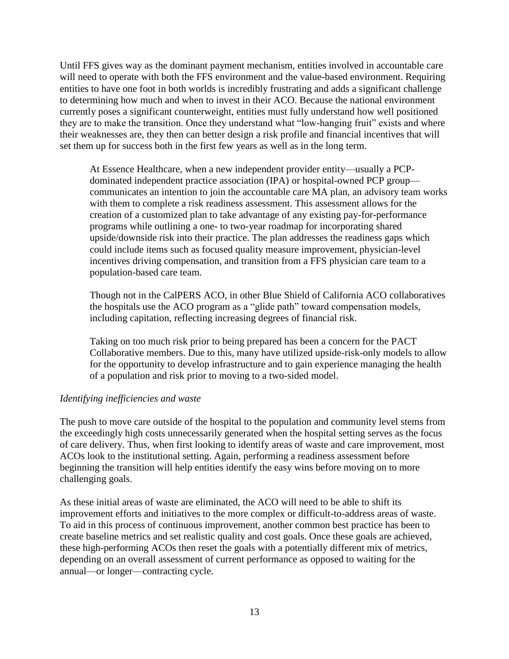Until FFS gives way as the dominant payment mechanism, entities involved in accountable care will need to operate with both the FFS environment and the value-based environment. Requiring entities to have one foot in both worlds is incredibly frustrating and adds a significant challenge to determining how much and when to invest in their ACO. Because the national environment currently poses a significant counterweight, entities must fully understand how well positioned they are to make the transition. Once they understand what "low-hanging fruit" exists and where their weaknesses are, they then can better design a risk profile and financial incentives that will set them up for success both in the first few years as well as in the long term.

At Essence Healthcare, when a new independent provider entity—usually a PCPdominated independent practice association (IPA) or hospital-owned PCP group communicates an intention to join the accountable care MA plan, an advisory team works with them to complete a risk readiness assessment. This assessment allows for the creation of a customized plan to take advantage of any existing pay-for-performance programs while outlining a one- to two-year roadmap for incorporating shared upside/downside risk into their practice. The plan addresses the readiness gaps which could include items such as focused quality measure improvement, physician-level incentives driving compensation, and transition from a FFS physician care team to a population-based care team.

Though not in the CalPERS ACO, in other Blue Shield of California ACO collaboratives the hospitals use the ACO program as a "glide path" toward compensation models, including capitation, reflecting increasing degrees of financial risk.

Taking on too much risk prior to being prepared has been a concern for the PACT Collaborative members. Due to this, many have utilized upside-risk-only models to allow for the opportunity to develop infrastructure and to gain experience managing the health of a population and risk prior to moving to a two-sided model.

## *Identifying inefficiencies and waste*

The push to move care outside of the hospital to the population and community level stems from the exceedingly high costs unnecessarily generated when the hospital setting serves as the focus of care delivery. Thus, when first looking to identify areas of waste and care improvement, most ACOs look to the institutional setting. Again, performing a readiness assessment before beginning the transition will help entities identify the easy wins before moving on to more challenging goals.

As these initial areas of waste are eliminated, the ACO will need to be able to shift its improvement efforts and initiatives to the more complex or difficult-to-address areas of waste. To aid in this process of continuous improvement, another common best practice has been to create baseline metrics and set realistic quality and cost goals. Once these goals are achieved, these high-performing ACOs then reset the goals with a potentially different mix of metrics, depending on an overall assessment of current performance as opposed to waiting for the annual—or longer—contracting cycle.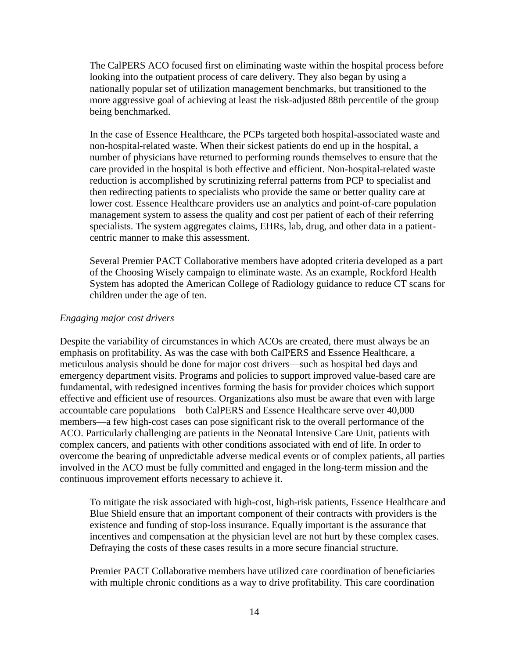The CalPERS ACO focused first on eliminating waste within the hospital process before looking into the outpatient process of care delivery. They also began by using a nationally popular set of utilization management benchmarks, but transitioned to the more aggressive goal of achieving at least the risk-adjusted 88th percentile of the group being benchmarked.

In the case of Essence Healthcare, the PCPs targeted both hospital-associated waste and non-hospital-related waste. When their sickest patients do end up in the hospital, a number of physicians have returned to performing rounds themselves to ensure that the care provided in the hospital is both effective and efficient. Non-hospital-related waste reduction is accomplished by scrutinizing referral patterns from PCP to specialist and then redirecting patients to specialists who provide the same or better quality care at lower cost. Essence Healthcare providers use an analytics and point-of-care population management system to assess the quality and cost per patient of each of their referring specialists. The system aggregates claims, EHRs, lab, drug, and other data in a patientcentric manner to make this assessment.

Several Premier PACT Collaborative members have adopted criteria developed as a part of the Choosing Wisely campaign to eliminate waste. As an example, Rockford Health System has adopted the American College of Radiology guidance to reduce CT scans for children under the age of ten.

## *Engaging major cost drivers*

Despite the variability of circumstances in which ACOs are created, there must always be an emphasis on profitability. As was the case with both CalPERS and Essence Healthcare, a meticulous analysis should be done for major cost drivers—such as hospital bed days and emergency department visits. Programs and policies to support improved value-based care are fundamental, with redesigned incentives forming the basis for provider choices which support effective and efficient use of resources. Organizations also must be aware that even with large accountable care populations—both CalPERS and Essence Healthcare serve over 40,000 members—a few high-cost cases can pose significant risk to the overall performance of the ACO. Particularly challenging are patients in the Neonatal Intensive Care Unit, patients with complex cancers, and patients with other conditions associated with end of life. In order to overcome the bearing of unpredictable adverse medical events or of complex patients, all parties involved in the ACO must be fully committed and engaged in the long-term mission and the continuous improvement efforts necessary to achieve it.

To mitigate the risk associated with high-cost, high-risk patients, Essence Healthcare and Blue Shield ensure that an important component of their contracts with providers is the existence and funding of stop-loss insurance. Equally important is the assurance that incentives and compensation at the physician level are not hurt by these complex cases. Defraying the costs of these cases results in a more secure financial structure.

Premier PACT Collaborative members have utilized care coordination of beneficiaries with multiple chronic conditions as a way to drive profitability. This care coordination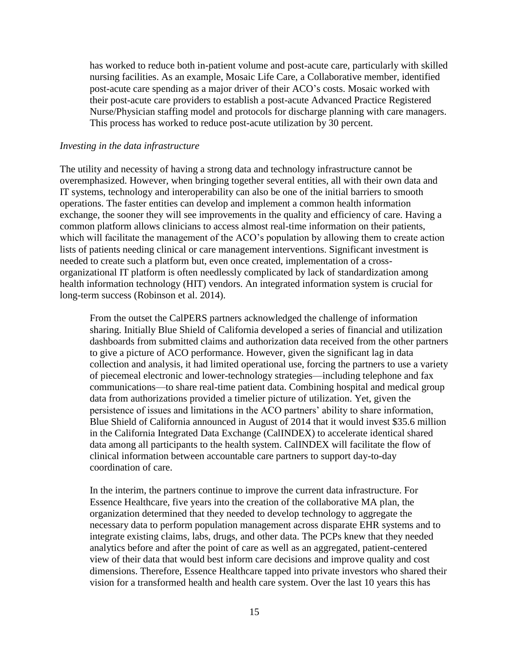has worked to reduce both in-patient volume and post-acute care, particularly with skilled nursing facilities. As an example, Mosaic Life Care, a Collaborative member, identified post-acute care spending as a major driver of their ACO's costs. Mosaic worked with their post-acute care providers to establish a post-acute Advanced Practice Registered Nurse/Physician staffing model and protocols for discharge planning with care managers. This process has worked to reduce post-acute utilization by 30 percent.

#### *Investing in the data infrastructure*

The utility and necessity of having a strong data and technology infrastructure cannot be overemphasized. However, when bringing together several entities, all with their own data and IT systems, technology and interoperability can also be one of the initial barriers to smooth operations. The faster entities can develop and implement a common health information exchange, the sooner they will see improvements in the quality and efficiency of care. Having a common platform allows clinicians to access almost real-time information on their patients, which will facilitate the management of the ACO's population by allowing them to create action lists of patients needing clinical or care management interventions. Significant investment is needed to create such a platform but, even once created, implementation of a crossorganizational IT platform is often needlessly complicated by lack of standardization among health information technology (HIT) vendors. An integrated information system is crucial for long-term success (Robinson et al. 2014).

From the outset the CalPERS partners acknowledged the challenge of information sharing. Initially Blue Shield of California developed a series of financial and utilization dashboards from submitted claims and authorization data received from the other partners to give a picture of ACO performance. However, given the significant lag in data collection and analysis, it had limited operational use, forcing the partners to use a variety of piecemeal electronic and lower-technology strategies—including telephone and fax communications—to share real-time patient data. Combining hospital and medical group data from authorizations provided a timelier picture of utilization. Yet, given the persistence of issues and limitations in the ACO partners' ability to share information, Blue Shield of California announced in August of 2014 that it would invest \$35.6 million in the California Integrated Data Exchange (CalINDEX) to accelerate identical shared data among all participants to the health system. CalINDEX will facilitate the flow of clinical information between accountable care partners to support day-to-day coordination of care.

In the interim, the partners continue to improve the current data infrastructure. For Essence Healthcare, five years into the creation of the collaborative MA plan, the organization determined that they needed to develop technology to aggregate the necessary data to perform population management across disparate EHR systems and to integrate existing claims, labs, drugs, and other data. The PCPs knew that they needed analytics before and after the point of care as well as an aggregated, patient-centered view of their data that would best inform care decisions and improve quality and cost dimensions. Therefore, Essence Healthcare tapped into private investors who shared their vision for a transformed health and health care system. Over the last 10 years this has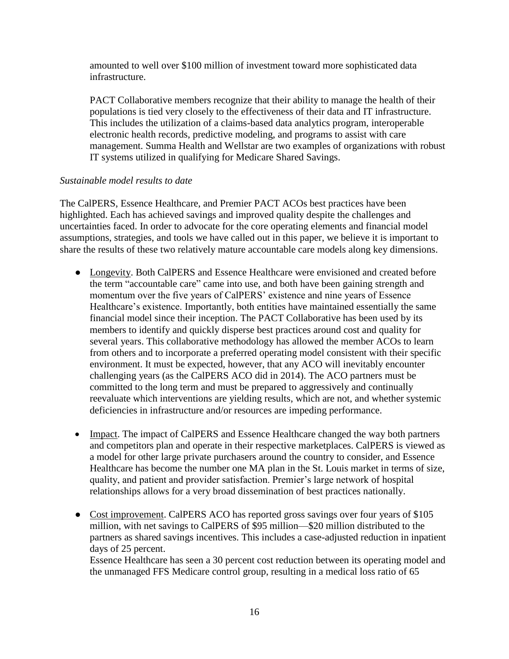amounted to well over \$100 million of investment toward more sophisticated data infrastructure.

PACT Collaborative members recognize that their ability to manage the health of their populations is tied very closely to the effectiveness of their data and IT infrastructure. This includes the utilization of a claims-based data analytics program, interoperable electronic health records, predictive modeling, and programs to assist with care management. Summa Health and Wellstar are two examples of organizations with robust IT systems utilized in qualifying for Medicare Shared Savings.

## *Sustainable model results to date*

The CalPERS, Essence Healthcare, and Premier PACT ACOs best practices have been highlighted. Each has achieved savings and improved quality despite the challenges and uncertainties faced. In order to advocate for the core operating elements and financial model assumptions, strategies, and tools we have called out in this paper, we believe it is important to share the results of these two relatively mature accountable care models along key dimensions.

- Longevity. Both CalPERS and Essence Healthcare were envisioned and created before the term "accountable care" came into use, and both have been gaining strength and momentum over the five years of CalPERS' existence and nine years of Essence Healthcare's existence. Importantly, both entities have maintained essentially the same financial model since their inception. The PACT Collaborative has been used by its members to identify and quickly disperse best practices around cost and quality for several years. This collaborative methodology has allowed the member ACOs to learn from others and to incorporate a preferred operating model consistent with their specific environment. It must be expected, however, that any ACO will inevitably encounter challenging years (as the CalPERS ACO did in 2014). The ACO partners must be committed to the long term and must be prepared to aggressively and continually reevaluate which interventions are yielding results, which are not, and whether systemic deficiencies in infrastructure and/or resources are impeding performance.
- Impact. The impact of CalPERS and Essence Healthcare changed the way both partners and competitors plan and operate in their respective marketplaces. CalPERS is viewed as a model for other large private purchasers around the country to consider, and Essence Healthcare has become the number one MA plan in the St. Louis market in terms of size, quality, and patient and provider satisfaction. Premier's large network of hospital relationships allows for a very broad dissemination of best practices nationally.
- Cost improvement. CalPERS ACO has reported gross savings over four years of \$105 million, with net savings to CalPERS of \$95 million—\$20 million distributed to the partners as shared savings incentives. This includes a case-adjusted reduction in inpatient days of 25 percent.

Essence Healthcare has seen a 30 percent cost reduction between its operating model and the unmanaged FFS Medicare control group, resulting in a medical loss ratio of 65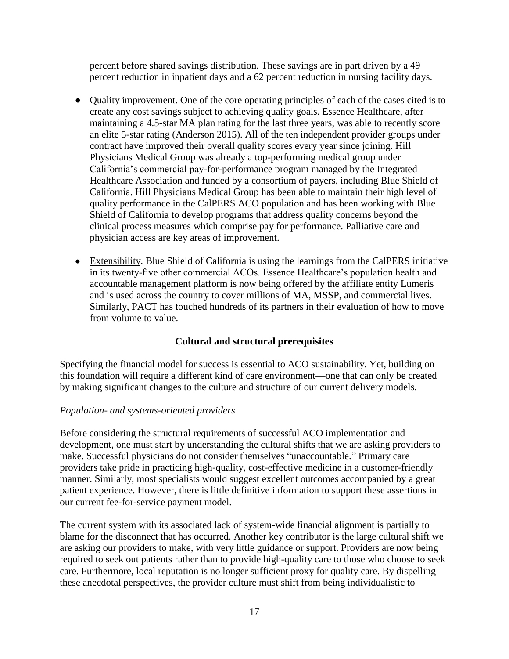percent before shared savings distribution. These savings are in part driven by a 49 percent reduction in inpatient days and a 62 percent reduction in nursing facility days.

- Quality improvement. One of the core operating principles of each of the cases cited is to create any cost savings subject to achieving quality goals. Essence Healthcare, after maintaining a 4.5-star MA plan rating for the last three years, was able to recently score an elite 5-star rating (Anderson 2015). All of the ten independent provider groups under contract have improved their overall quality scores every year since joining. Hill Physicians Medical Group was already a top-performing medical group under California's commercial pay-for-performance program managed by the Integrated Healthcare Association and funded by a consortium of payers, including Blue Shield of California. Hill Physicians Medical Group has been able to maintain their high level of quality performance in the CalPERS ACO population and has been working with Blue Shield of California to develop programs that address quality concerns beyond the clinical process measures which comprise pay for performance. Palliative care and physician access are key areas of improvement.
- Extensibility. Blue Shield of California is using the learnings from the CalPERS initiative in its twenty-five other commercial ACOs. Essence Healthcare's population health and accountable management platform is now being offered by the affiliate entity Lumeris and is used across the country to cover millions of MA, MSSP, and commercial lives. Similarly, PACT has touched hundreds of its partners in their evaluation of how to move from volume to value.

## **Cultural and structural prerequisites**

Specifying the financial model for success is essential to ACO sustainability. Yet, building on this foundation will require a different kind of care environment—one that can only be created by making significant changes to the culture and structure of our current delivery models.

## *Population- and systems-oriented providers*

Before considering the structural requirements of successful ACO implementation and development, one must start by understanding the cultural shifts that we are asking providers to make. Successful physicians do not consider themselves "unaccountable." Primary care providers take pride in practicing high-quality, cost-effective medicine in a customer-friendly manner. Similarly, most specialists would suggest excellent outcomes accompanied by a great patient experience. However, there is little definitive information to support these assertions in our current fee-for-service payment model.

The current system with its associated lack of system-wide financial alignment is partially to blame for the disconnect that has occurred. Another key contributor is the large cultural shift we are asking our providers to make, with very little guidance or support. Providers are now being required to seek out patients rather than to provide high-quality care to those who choose to seek care. Furthermore, local reputation is no longer sufficient proxy for quality care. By dispelling these anecdotal perspectives, the provider culture must shift from being individualistic to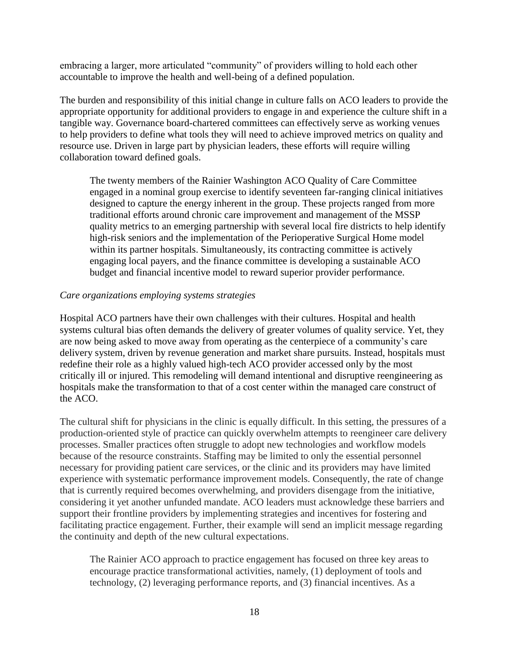embracing a larger, more articulated "community" of providers willing to hold each other accountable to improve the health and well-being of a defined population.

The burden and responsibility of this initial change in culture falls on ACO leaders to provide the appropriate opportunity for additional providers to engage in and experience the culture shift in a tangible way. Governance board-chartered committees can effectively serve as working venues to help providers to define what tools they will need to achieve improved metrics on quality and resource use. Driven in large part by physician leaders, these efforts will require willing collaboration toward defined goals.

The twenty members of the Rainier Washington ACO Quality of Care Committee engaged in a nominal group exercise to identify seventeen far-ranging clinical initiatives designed to capture the energy inherent in the group. These projects ranged from more traditional efforts around chronic care improvement and management of the MSSP quality metrics to an emerging partnership with several local fire districts to help identify high-risk seniors and the implementation of the Perioperative Surgical Home model within its partner hospitals. Simultaneously, its contracting committee is actively engaging local payers, and the finance committee is developing a sustainable ACO budget and financial incentive model to reward superior provider performance.

## *Care organizations employing systems strategies*

Hospital ACO partners have their own challenges with their cultures. Hospital and health systems cultural bias often demands the delivery of greater volumes of quality service. Yet, they are now being asked to move away from operating as the centerpiece of a community's care delivery system, driven by revenue generation and market share pursuits. Instead, hospitals must redefine their role as a highly valued high-tech ACO provider accessed only by the most critically ill or injured. This remodeling will demand intentional and disruptive reengineering as hospitals make the transformation to that of a cost center within the managed care construct of the ACO.

The cultural shift for physicians in the clinic is equally difficult. In this setting, the pressures of a production-oriented style of practice can quickly overwhelm attempts to reengineer care delivery processes. Smaller practices often struggle to adopt new technologies and workflow models because of the resource constraints. Staffing may be limited to only the essential personnel necessary for providing patient care services, or the clinic and its providers may have limited experience with systematic performance improvement models. Consequently, the rate of change that is currently required becomes overwhelming, and providers disengage from the initiative, considering it yet another unfunded mandate. ACO leaders must acknowledge these barriers and support their frontline providers by implementing strategies and incentives for fostering and facilitating practice engagement. Further, their example will send an implicit message regarding the continuity and depth of the new cultural expectations.

The Rainier ACO approach to practice engagement has focused on three key areas to encourage practice transformational activities, namely, (1) deployment of tools and technology, (2) leveraging performance reports, and (3) financial incentives. As a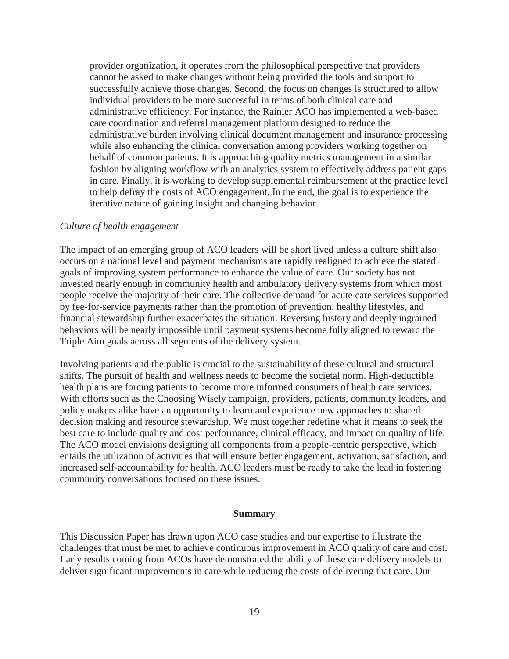provider organization, it operates from the philosophical perspective that providers cannot be asked to make changes without being provided the tools and support to successfully achieve those changes. Second, the focus on changes is structured to allow individual providers to be more successful in terms of both clinical care and administrative efficiency. For instance, the Rainier ACO has implemented a web-based care coordination and referral management platform designed to reduce the administrative burden involving clinical document management and insurance processing while also enhancing the clinical conversation among providers working together on behalf of common patients. It is approaching quality metrics management in a similar fashion by aligning workflow with an analytics system to effectively address patient gaps in care. Finally, it is working to develop supplemental reimbursement at the practice level to help defray the costs of ACO engagement. In the end, the goal is to experience the iterative nature of gaining insight and changing behavior.

#### *Culture of health engagement*

The impact of an emerging group of ACO leaders will be short lived unless a culture shift also occurs on a national level and payment mechanisms are rapidly realigned to achieve the stated goals of improving system performance to enhance the value of care. Our society has not invested nearly enough in community health and ambulatory delivery systems from which most people receive the majority of their care. The collective demand for acute care services supported by fee-for-service payments rather than the promotion of prevention, healthy lifestyles, and financial stewardship further exacerbates the situation. Reversing history and deeply ingrained behaviors will be nearly impossible until payment systems become fully aligned to reward the Triple Aim goals across all segments of the delivery system.

Involving patients and the public is crucial to the sustainability of these cultural and structural shifts. The pursuit of health and wellness needs to become the societal norm. High-deductible health plans are forcing patients to become more informed consumers of health care services. With efforts such as the Choosing Wisely campaign, providers, patients, community leaders, and policy makers alike have an opportunity to learn and experience new approaches to shared decision making and resource stewardship. We must together redefine what it means to seek the best care to include quality and cost performance, clinical efficacy, and impact on quality of life. The ACO model envisions designing all components from a people-centric perspective, which entails the utilization of activities that will ensure better engagement, activation, satisfaction, and increased self-accountability for health. ACO leaders must be ready to take the lead in fostering community conversations focused on these issues.

#### **Summary**

This Discussion Paper has drawn upon ACO case studies and our expertise to illustrate the challenges that must be met to achieve continuous improvement in ACO quality of care and cost. Early results coming from ACOs have demonstrated the ability of these care delivery models to deliver significant improvements in care while reducing the costs of delivering that care. Our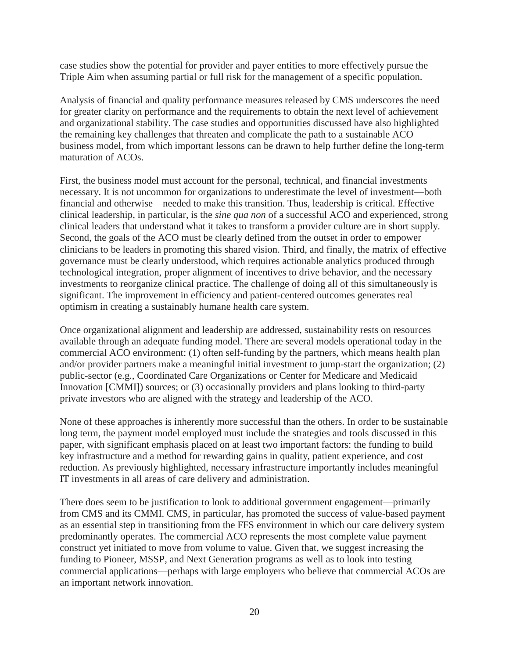case studies show the potential for provider and payer entities to more effectively pursue the Triple Aim when assuming partial or full risk for the management of a specific population.

Analysis of financial and quality performance measures released by CMS underscores the need for greater clarity on performance and the requirements to obtain the next level of achievement and organizational stability. The case studies and opportunities discussed have also highlighted the remaining key challenges that threaten and complicate the path to a sustainable ACO business model, from which important lessons can be drawn to help further define the long-term maturation of ACOs.

First, the business model must account for the personal, technical, and financial investments necessary. It is not uncommon for organizations to underestimate the level of investment—both financial and otherwise—needed to make this transition. Thus, leadership is critical. Effective clinical leadership, in particular, is the *sine qua non* of a successful ACO and experienced, strong clinical leaders that understand what it takes to transform a provider culture are in short supply. Second, the goals of the ACO must be clearly defined from the outset in order to empower clinicians to be leaders in promoting this shared vision. Third, and finally, the matrix of effective governance must be clearly understood, which requires actionable analytics produced through technological integration, proper alignment of incentives to drive behavior, and the necessary investments to reorganize clinical practice. The challenge of doing all of this simultaneously is significant. The improvement in efficiency and patient-centered outcomes generates real optimism in creating a sustainably humane health care system.

Once organizational alignment and leadership are addressed, sustainability rests on resources available through an adequate funding model. There are several models operational today in the commercial ACO environment: (1) often self-funding by the partners, which means health plan and/or provider partners make a meaningful initial investment to jump-start the organization; (2) public-sector (e.g., Coordinated Care Organizations or Center for Medicare and Medicaid Innovation [CMMI]) sources; or (3) occasionally providers and plans looking to third-party private investors who are aligned with the strategy and leadership of the ACO.

None of these approaches is inherently more successful than the others. In order to be sustainable long term, the payment model employed must include the strategies and tools discussed in this paper, with significant emphasis placed on at least two important factors: the funding to build key infrastructure and a method for rewarding gains in quality, patient experience, and cost reduction. As previously highlighted, necessary infrastructure importantly includes meaningful IT investments in all areas of care delivery and administration.

There does seem to be justification to look to additional government engagement—primarily from CMS and its CMMI. CMS, in particular, has promoted the success of value-based payment as an essential step in transitioning from the FFS environment in which our care delivery system predominantly operates. The commercial ACO represents the most complete value payment construct yet initiated to move from volume to value. Given that, we suggest increasing the funding to Pioneer, MSSP, and Next Generation programs as well as to look into testing commercial applications—perhaps with large employers who believe that commercial ACOs are an important network innovation.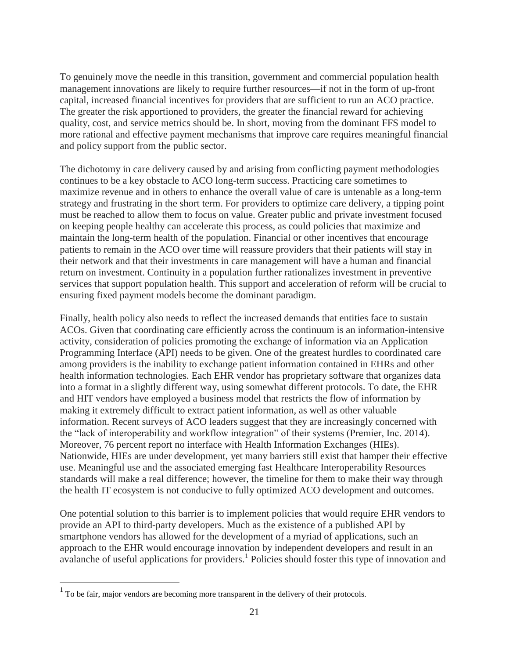To genuinely move the needle in this transition, government and commercial population health management innovations are likely to require further resources—if not in the form of up-front capital, increased financial incentives for providers that are sufficient to run an ACO practice. The greater the risk apportioned to providers, the greater the financial reward for achieving quality, cost, and service metrics should be. In short, moving from the dominant FFS model to more rational and effective payment mechanisms that improve care requires meaningful financial and policy support from the public sector.

The dichotomy in care delivery caused by and arising from conflicting payment methodologies continues to be a key obstacle to ACO long-term success. Practicing care sometimes to maximize revenue and in others to enhance the overall value of care is untenable as a long-term strategy and frustrating in the short term. For providers to optimize care delivery, a tipping point must be reached to allow them to focus on value. Greater public and private investment focused on keeping people healthy can accelerate this process, as could policies that maximize and maintain the long-term health of the population. Financial or other incentives that encourage patients to remain in the ACO over time will reassure providers that their patients will stay in their network and that their investments in care management will have a human and financial return on investment. Continuity in a population further rationalizes investment in preventive services that support population health. This support and acceleration of reform will be crucial to ensuring fixed payment models become the dominant paradigm.

Finally, health policy also needs to reflect the increased demands that entities face to sustain ACOs. Given that coordinating care efficiently across the continuum is an information-intensive activity, consideration of policies promoting the exchange of information via an Application Programming Interface (API) needs to be given. One of the greatest hurdles to coordinated care among providers is the inability to exchange patient information contained in EHRs and other health information technologies. Each EHR vendor has proprietary software that organizes data into a format in a slightly different way, using somewhat different protocols. To date, the EHR and HIT vendors have employed a business model that restricts the flow of information by making it extremely difficult to extract patient information, as well as other valuable information. Recent surveys of ACO leaders suggest that they are increasingly concerned with the "lack of interoperability and workflow integration" of their systems (Premier, Inc. 2014). Moreover, 76 percent report no interface with Health Information Exchanges (HIEs). Nationwide, HIEs are under development, yet many barriers still exist that hamper their effective use. Meaningful use and the associated emerging fast Healthcare Interoperability Resources standards will make a real difference; however, the timeline for them to make their way through the health IT ecosystem is not conducive to fully optimized ACO development and outcomes.

One potential solution to this barrier is to implement policies that would require EHR vendors to provide an API to third-party developers. Much as the existence of a published API by smartphone vendors has allowed for the development of a myriad of applications, such an approach to the EHR would encourage innovation by independent developers and result in an avalanche of useful applications for providers.<sup>1</sup> Policies should foster this type of innovation and

 $\overline{a}$ 

 $<sup>1</sup>$  To be fair, major vendors are becoming more transparent in the delivery of their protocols.</sup>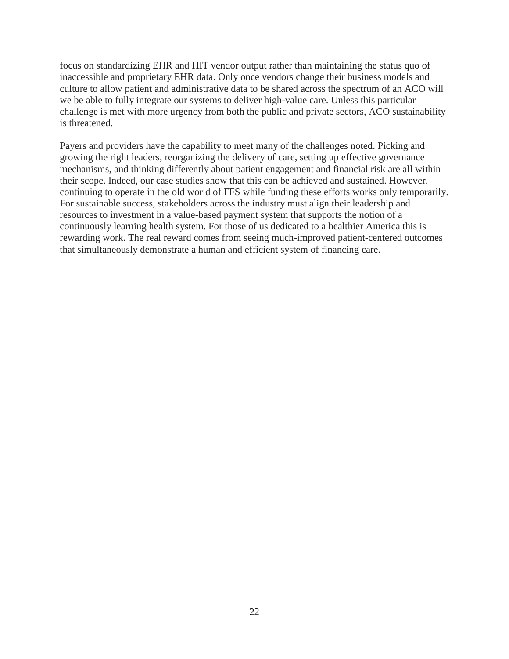focus on standardizing EHR and HIT vendor output rather than maintaining the status quo of inaccessible and proprietary EHR data. Only once vendors change their business models and culture to allow patient and administrative data to be shared across the spectrum of an ACO will we be able to fully integrate our systems to deliver high-value care. Unless this particular challenge is met with more urgency from both the public and private sectors, ACO sustainability is threatened.

Payers and providers have the capability to meet many of the challenges noted. Picking and growing the right leaders, reorganizing the delivery of care, setting up effective governance mechanisms, and thinking differently about patient engagement and financial risk are all within their scope. Indeed, our case studies show that this can be achieved and sustained. However, continuing to operate in the old world of FFS while funding these efforts works only temporarily. For sustainable success, stakeholders across the industry must align their leadership and resources to investment in a value-based payment system that supports the notion of a continuously learning health system. For those of us dedicated to a healthier America this is rewarding work. The real reward comes from seeing much-improved patient-centered outcomes that simultaneously demonstrate a human and efficient system of financing care.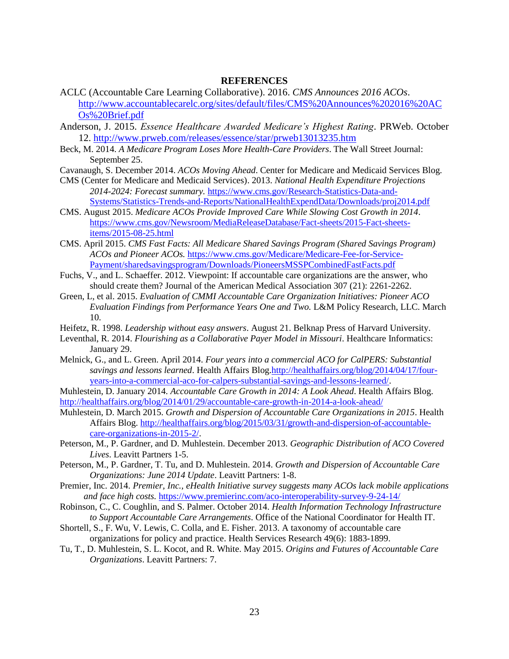#### **REFERENCES**

- ACLC (Accountable Care Learning Collaborative). 2016. *CMS Announces 2016 ACOs*. [http://www.accountablecarelc.org/sites/default/files/CMS%20Announces%202016%20AC](http://www.accountablecarelc.org/sites/default/files/CMS%20Announces%202016%20ACOs%20Brief.pdf) [Os%20Brief.pdf](http://www.accountablecarelc.org/sites/default/files/CMS%20Announces%202016%20ACOs%20Brief.pdf)
- Anderson, J. 2015. *Essence Healthcare Awarded Medicare's Highest Rating*. PRWeb. October 12.<http://www.prweb.com/releases/essence/star/prweb13013235.htm>
- Beck, M. 2014. *A Medicare Program Loses More Health-Care Providers*. The Wall Street Journal: September 25.
- Cavanaugh, S. December 2014. *ACOs Moving Ahead*. Center for Medicare and Medicaid Services Blog.
- CMS (Center for Medicare and Medicaid Services). 2013. *National Health Expenditure Projections 2014-2024: Forecast summary.* [https://www.cms.gov/Research-Statistics-Data-and-](https://www.cms.gov/Research-Statistics-Data-and-Systems/Statistics-Trends-and-Reports/NationalHealthExpendData/Downloads/proj2014.pdf)[Systems/Statistics-Trends-and-Reports/NationalHealthExpendData/Downloads/proj2014.pdf](https://www.cms.gov/Research-Statistics-Data-and-Systems/Statistics-Trends-and-Reports/NationalHealthExpendData/Downloads/proj2014.pdf)
- CMS. August 2015. *Medicare ACOs Provide Improved Care While Slowing Cost Growth in 2014*. [https://www.cms.gov/Newsroom/MediaReleaseDatabase/Fact-sheets/2015-Fact-sheets](https://www.cms.gov/Newsroom/MediaReleaseDatabase/Fact-sheets/2015-Fact-sheets-items/2015-08-25.html)[items/2015-08-25.html](https://www.cms.gov/Newsroom/MediaReleaseDatabase/Fact-sheets/2015-Fact-sheets-items/2015-08-25.html)
- CMS. April 2015. *CMS Fast Facts: All Medicare Shared Savings Program (Shared Savings Program) ACOs and Pioneer ACOs.* [https://www.cms.gov/Medicare/Medicare-Fee-for-Service-](https://www.cms.gov/Medicare/Medicare-Fee-for-Service-Payment/sharedsavingsprogram/Downloads/PioneersMSSPCombinedFastFacts.pdf)[Payment/sharedsavingsprogram/Downloads/PioneersMSSPCombinedFastFacts.pdf](https://www.cms.gov/Medicare/Medicare-Fee-for-Service-Payment/sharedsavingsprogram/Downloads/PioneersMSSPCombinedFastFacts.pdf)
- Fuchs, V., and L. Schaeffer. 2012. Viewpoint: If accountable care organizations are the answer, who should create them? Journal of the American Medical Association 307 (21): 2261-2262.
- Green, L, et al. 2015. *Evaluation of CMMI Accountable Care Organization Initiatives: Pioneer ACO Evaluation Findings from Performance Years One and Two.* L&M Policy Research, LLC. March 10.
- Heifetz, R. 1998. *Leadership without easy answers*. August 21. Belknap Press of Harvard University.
- Leventhal, R. 2014. *Flourishing as a Collaborative Payer Model in Missouri*. Healthcare Informatics: January 29.
- Melnick, G., and L. Green. April 2014. *Four years into a commercial ACO for CalPERS: Substantial savings and lessons learned*. Health Affairs Blo[g.http://healthaffairs.org/blog/2014/04/17/four](http://healthaffairs.org/blog/2014/04/17/four-years-into-a-commercial-aco-for-calpers-substantial-savings-and-lessons-learned/)[years-into-a-commercial-aco-for-calpers-substantial-savings-and-lessons-learned/.](http://healthaffairs.org/blog/2014/04/17/four-years-into-a-commercial-aco-for-calpers-substantial-savings-and-lessons-learned/)
- Muhlestein, D. January 2014. *Accountable Care Growth in 2014: A Look Ahead*. Health Affairs Blog. <http://healthaffairs.org/blog/2014/01/29/accountable-care-growth-in-2014-a-look-ahead/>
- Muhlestein, D. March 2015. *Growth and Dispersion of Accountable Care Organizations in 2015*. Health Affairs Blog. [http://healthaffairs.org/blog/2015/03/31/growth-and-dispersion-of-accountable](http://healthaffairs.org/blog/2015/03/31/growth-and-dispersion-of-accountable-care-organizations-in-2015-2/)[care-organizations-in-2015-2/.](http://healthaffairs.org/blog/2015/03/31/growth-and-dispersion-of-accountable-care-organizations-in-2015-2/)
- Peterson, M., P. Gardner, and D. Muhlestein. December 2013. *Geographic Distribution of ACO Covered Lives*. Leavitt Partners 1-5.
- Peterson, M., P. Gardner, T. Tu, and D. Muhlestein. 2014. *Growth and Dispersion of Accountable Care Organizations: June 2014 Update*. Leavitt Partners: 1-8.
- Premier, Inc. 2014. *Premier, Inc., eHealth Initiative survey suggests many ACOs lack mobile applications and face high costs.* <https://www.premierinc.com/aco-interoperability-survey-9-24-14/>
- Robinson, C., C. Coughlin, and S. Palmer. October 2014. *Health Information Technology Infrastructure to Support Accountable Care Arrangements*. Office of the National Coordinator for Health IT.
- Shortell, S., F. Wu, V. Lewis, C. Colla, and E. Fisher. 2013. A taxonomy of accountable care organizations for policy and practice. Health Services Research 49(6): 1883-1899.
- Tu, T., D. Muhlestein, S. L. Kocot, and R. White. May 2015. *Origins and Futures of Accountable Care Organizations*. Leavitt Partners: 7.